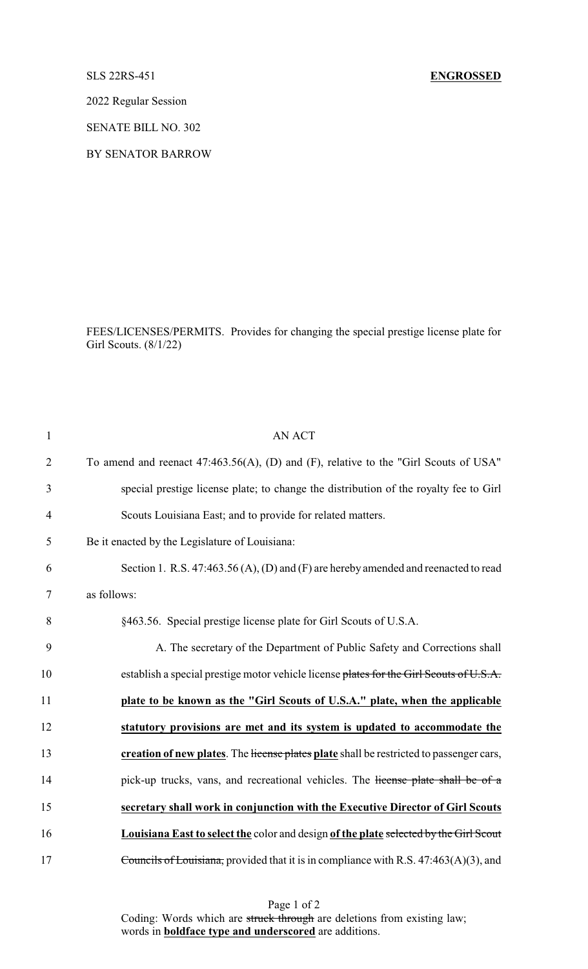2022 Regular Session

SENATE BILL NO. 302

BY SENATOR BARROW

FEES/LICENSES/PERMITS. Provides for changing the special prestige license plate for Girl Scouts. (8/1/22)

| $\mathbf{1}$   | <b>AN ACT</b>                                                                                |
|----------------|----------------------------------------------------------------------------------------------|
| $\overline{2}$ | To amend and reenact 47:463.56(A), (D) and (F), relative to the "Girl Scouts of USA"         |
| 3              | special prestige license plate; to change the distribution of the royalty fee to Girl        |
| $\overline{4}$ | Scouts Louisiana East; and to provide for related matters.                                   |
| 5              | Be it enacted by the Legislature of Louisiana:                                               |
| 6              | Section 1. R.S. 47:463.56 (A), (D) and (F) are hereby amended and reenacted to read          |
| 7              | as follows:                                                                                  |
| 8              | §463.56. Special prestige license plate for Girl Scouts of U.S.A.                            |
| 9              | A. The secretary of the Department of Public Safety and Corrections shall                    |
| 10             | establish a special prestige motor vehicle license plates for the Girl Scouts of U.S.A.      |
| 11             | plate to be known as the "Girl Scouts of U.S.A." plate, when the applicable                  |
| 12             | statutory provisions are met and its system is updated to accommodate the                    |
| 13             | creation of new plates. The license plates plate shall be restricted to passenger cars,      |
| 14             | pick-up trucks, vans, and recreational vehicles. The license plate shall be of a             |
| 15             | secretary shall work in conjunction with the Executive Director of Girl Scouts               |
| 16             | <b>Louisiana East to select the color and design of the plate selected by the Girl Scout</b> |
| 17             | Councils of Louisiana, provided that it is in compliance with R.S. 47:463(A)(3), and         |

Page 1 of 2 Coding: Words which are struck through are deletions from existing law; words in **boldface type and underscored** are additions.